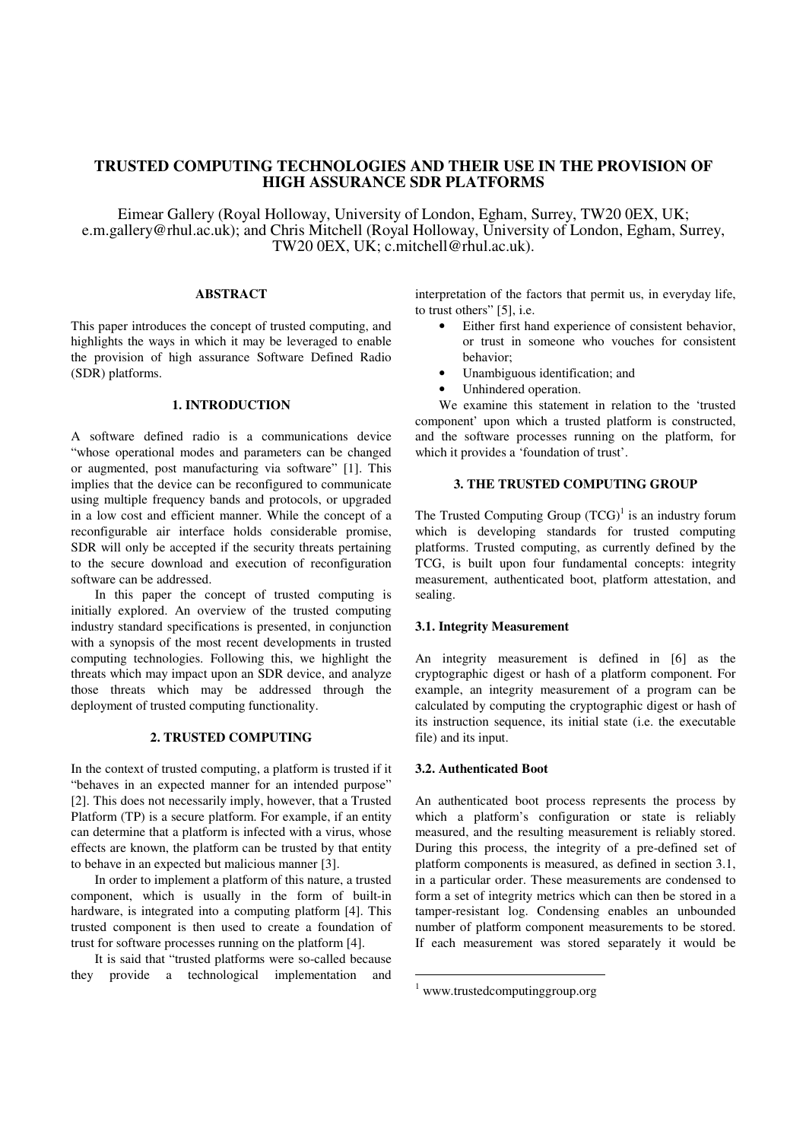# **TRUSTED COMPUTING TECHNOLOGIES AND THEIR USE IN THE PROVISION OF HIGH ASSURANCE SDR PLATFORMS**

Eimear Gallery (Royal Holloway, University of London, Egham, Surrey, TW20 0EX, UK; e.m.gallery@rhul.ac.uk); and Chris Mitchell (Royal Holloway, University of London, Egham, Surrey, TW20 0EX, UK; c.mitchell@rhul.ac.uk).

# **ABSTRACT**

This paper introduces the concept of trusted computing, and highlights the ways in which it may be leveraged to enable the provision of high assurance Software Defined Radio (SDR) platforms.

# **1. INTRODUCTION**

A software defined radio is a communications device "whose operational modes and parameters can be changed or augmented, post manufacturing via software" [1]. This implies that the device can be reconfigured to communicate using multiple frequency bands and protocols, or upgraded in a low cost and efficient manner. While the concept of a reconfigurable air interface holds considerable promise, SDR will only be accepted if the security threats pertaining to the secure download and execution of reconfiguration software can be addressed.

In this paper the concept of trusted computing is initially explored. An overview of the trusted computing industry standard specifications is presented, in conjunction with a synopsis of the most recent developments in trusted computing technologies. Following this, we highlight the threats which may impact upon an SDR device, and analyze those threats which may be addressed through the deployment of trusted computing functionality.

### **2. TRUSTED COMPUTING**

In the context of trusted computing, a platform is trusted if it "behaves in an expected manner for an intended purpose" [2]. This does not necessarily imply, however, that a Trusted Platform (TP) is a secure platform. For example, if an entity can determine that a platform is infected with a virus, whose effects are known, the platform can be trusted by that entity to behave in an expected but malicious manner [3].

 In order to implement a platform of this nature, a trusted component, which is usually in the form of built-in hardware, is integrated into a computing platform [4]. This trusted component is then used to create a foundation of trust for software processes running on the platform [4].

 It is said that "trusted platforms were so-called because they provide a technological implementation and interpretation of the factors that permit us, in everyday life, to trust others" [5], i.e.

- Either first hand experience of consistent behavior, or trust in someone who vouches for consistent behavior;
- Unambiguous identification; and
- Unhindered operation.

 We examine this statement in relation to the 'trusted component' upon which a trusted platform is constructed, and the software processes running on the platform, for which it provides a 'foundation of trust'.

# **3. THE TRUSTED COMPUTING GROUP**

The Trusted Computing Group  $(TCG)^1$  is an industry forum which is developing standards for trusted computing platforms. Trusted computing, as currently defined by the TCG, is built upon four fundamental concepts: integrity measurement, authenticated boot, platform attestation, and sealing.

### **3.1. Integrity Measurement**

An integrity measurement is defined in [6] as the cryptographic digest or hash of a platform component. For example, an integrity measurement of a program can be calculated by computing the cryptographic digest or hash of its instruction sequence, its initial state (i.e. the executable file) and its input.

# **3.2. Authenticated Boot**

An authenticated boot process represents the process by which a platform's configuration or state is reliably measured, and the resulting measurement is reliably stored. During this process, the integrity of a pre-defined set of platform components is measured, as defined in section 3.1, in a particular order. These measurements are condensed to form a set of integrity metrics which can then be stored in a tamper-resistant log. Condensing enables an unbounded number of platform component measurements to be stored. If each measurement was stored separately it would be

-

<sup>1</sup> www.trustedcomputinggroup.org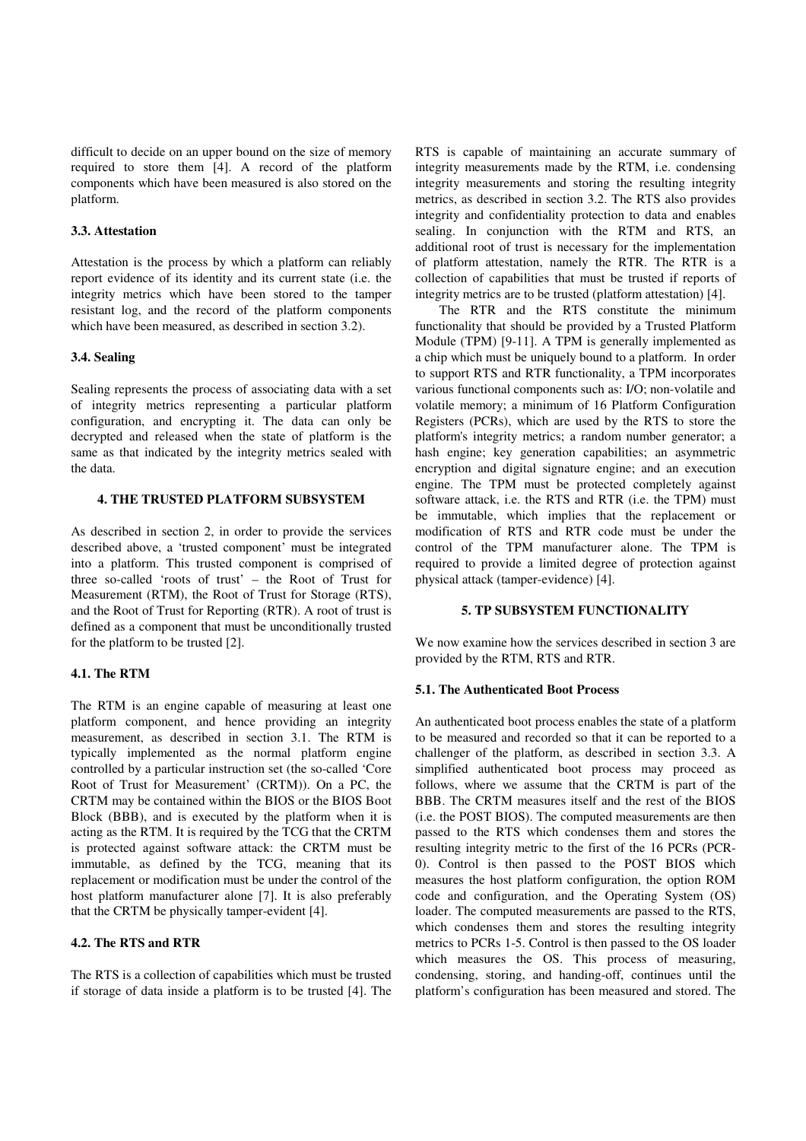difficult to decide on an upper bound on the size of memory required to store them [4]. A record of the platform components which have been measured is also stored on the platform.

### **3.3. Attestation**

Attestation is the process by which a platform can reliably report evidence of its identity and its current state (i.e. the integrity metrics which have been stored to the tamper resistant log, and the record of the platform components which have been measured, as described in section 3.2).

### **3.4. Sealing**

Sealing represents the process of associating data with a set of integrity metrics representing a particular platform configuration, and encrypting it. The data can only be decrypted and released when the state of platform is the same as that indicated by the integrity metrics sealed with the data.

# **4. THE TRUSTED PLATFORM SUBSYSTEM**

As described in section 2, in order to provide the services described above, a 'trusted component' must be integrated into a platform. This trusted component is comprised of three so-called 'roots of trust' – the Root of Trust for Measurement (RTM), the Root of Trust for Storage (RTS), and the Root of Trust for Reporting (RTR). A root of trust is defined as a component that must be unconditionally trusted for the platform to be trusted [2].

## **4.1. The RTM**

The RTM is an engine capable of measuring at least one platform component, and hence providing an integrity measurement, as described in section 3.1. The RTM is typically implemented as the normal platform engine controlled by a particular instruction set (the so-called 'Core Root of Trust for Measurement' (CRTM)). On a PC, the CRTM may be contained within the BIOS or the BIOS Boot Block (BBB), and is executed by the platform when it is acting as the RTM. It is required by the TCG that the CRTM is protected against software attack: the CRTM must be immutable, as defined by the TCG, meaning that its replacement or modification must be under the control of the host platform manufacturer alone [7]. It is also preferably that the CRTM be physically tamper-evident [4].

# **4.2. The RTS and RTR**

The RTS is a collection of capabilities which must be trusted if storage of data inside a platform is to be trusted [4]. The

RTS is capable of maintaining an accurate summary of integrity measurements made by the RTM, i.e. condensing integrity measurements and storing the resulting integrity metrics, as described in section 3.2. The RTS also provides integrity and confidentiality protection to data and enables sealing. In conjunction with the RTM and RTS, an additional root of trust is necessary for the implementation of platform attestation, namely the RTR. The RTR is a collection of capabilities that must be trusted if reports of integrity metrics are to be trusted (platform attestation) [4].

The RTR and the RTS constitute the minimum functionality that should be provided by a Trusted Platform Module (TPM) [9-11]. A TPM is generally implemented as a chip which must be uniquely bound to a platform. In order to support RTS and RTR functionality, a TPM incorporates various functional components such as: I/O; non-volatile and volatile memory; a minimum of 16 Platform Configuration Registers (PCRs), which are used by the RTS to store the platform's integrity metrics; a random number generator; a hash engine; key generation capabilities; an asymmetric encryption and digital signature engine; and an execution engine. The TPM must be protected completely against software attack, i.e. the RTS and RTR (i.e. the TPM) must be immutable, which implies that the replacement or modification of RTS and RTR code must be under the control of the TPM manufacturer alone. The TPM is required to provide a limited degree of protection against physical attack (tamper-evidence) [4].

## **5. TP SUBSYSTEM FUNCTIONALITY**

We now examine how the services described in section 3 are provided by the RTM, RTS and RTR.

## **5.1. The Authenticated Boot Process**

An authenticated boot process enables the state of a platform to be measured and recorded so that it can be reported to a challenger of the platform, as described in section 3.3. A simplified authenticated boot process may proceed as follows, where we assume that the CRTM is part of the BBB. The CRTM measures itself and the rest of the BIOS (i.e. the POST BIOS). The computed measurements are then passed to the RTS which condenses them and stores the resulting integrity metric to the first of the 16 PCRs (PCR-0). Control is then passed to the POST BIOS which measures the host platform configuration, the option ROM code and configuration, and the Operating System (OS) loader. The computed measurements are passed to the RTS, which condenses them and stores the resulting integrity metrics to PCRs 1-5. Control is then passed to the OS loader which measures the OS. This process of measuring, condensing, storing, and handing-off, continues until the platform's configuration has been measured and stored. The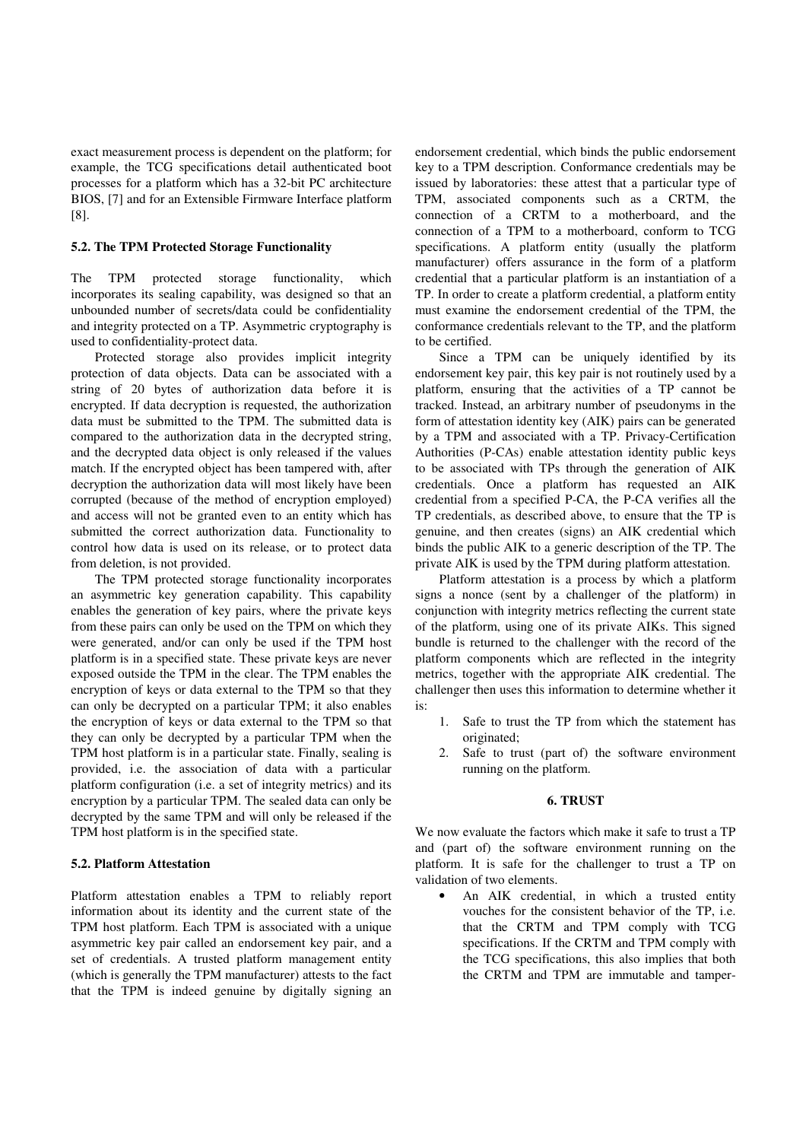exact measurement process is dependent on the platform; for example, the TCG specifications detail authenticated boot processes for a platform which has a 32-bit PC architecture BIOS, [7] and for an Extensible Firmware Interface platform [8].

### **5.2. The TPM Protected Storage Functionality**

The TPM protected storage functionality, which incorporates its sealing capability, was designed so that an unbounded number of secrets/data could be confidentiality and integrity protected on a TP. Asymmetric cryptography is used to confidentiality-protect data.

Protected storage also provides implicit integrity protection of data objects. Data can be associated with a string of 20 bytes of authorization data before it is encrypted. If data decryption is requested, the authorization data must be submitted to the TPM. The submitted data is compared to the authorization data in the decrypted string, and the decrypted data object is only released if the values match. If the encrypted object has been tampered with, after decryption the authorization data will most likely have been corrupted (because of the method of encryption employed) and access will not be granted even to an entity which has submitted the correct authorization data. Functionality to control how data is used on its release, or to protect data from deletion, is not provided.

The TPM protected storage functionality incorporates an asymmetric key generation capability. This capability enables the generation of key pairs, where the private keys from these pairs can only be used on the TPM on which they were generated, and/or can only be used if the TPM host platform is in a specified state. These private keys are never exposed outside the TPM in the clear. The TPM enables the encryption of keys or data external to the TPM so that they can only be decrypted on a particular TPM; it also enables the encryption of keys or data external to the TPM so that they can only be decrypted by a particular TPM when the TPM host platform is in a particular state. Finally, sealing is provided, i.e. the association of data with a particular platform configuration (i.e. a set of integrity metrics) and its encryption by a particular TPM. The sealed data can only be decrypted by the same TPM and will only be released if the TPM host platform is in the specified state.

### **5.2. Platform Attestation**

Platform attestation enables a TPM to reliably report information about its identity and the current state of the TPM host platform. Each TPM is associated with a unique asymmetric key pair called an endorsement key pair, and a set of credentials. A trusted platform management entity (which is generally the TPM manufacturer) attests to the fact that the TPM is indeed genuine by digitally signing an endorsement credential, which binds the public endorsement key to a TPM description. Conformance credentials may be issued by laboratories: these attest that a particular type of TPM, associated components such as a CRTM, the connection of a CRTM to a motherboard, and the connection of a TPM to a motherboard, conform to TCG specifications. A platform entity (usually the platform manufacturer) offers assurance in the form of a platform credential that a particular platform is an instantiation of a TP. In order to create a platform credential, a platform entity must examine the endorsement credential of the TPM, the conformance credentials relevant to the TP, and the platform to be certified.

Since a TPM can be uniquely identified by its endorsement key pair, this key pair is not routinely used by a platform, ensuring that the activities of a TP cannot be tracked. Instead, an arbitrary number of pseudonyms in the form of attestation identity key (AIK) pairs can be generated by a TPM and associated with a TP. Privacy-Certification Authorities (P-CAs) enable attestation identity public keys to be associated with TPs through the generation of AIK credentials. Once a platform has requested an AIK credential from a specified P-CA, the P-CA verifies all the TP credentials, as described above, to ensure that the TP is genuine, and then creates (signs) an AIK credential which binds the public AIK to a generic description of the TP. The private AIK is used by the TPM during platform attestation.

Platform attestation is a process by which a platform signs a nonce (sent by a challenger of the platform) in conjunction with integrity metrics reflecting the current state of the platform, using one of its private AIKs. This signed bundle is returned to the challenger with the record of the platform components which are reflected in the integrity metrics, together with the appropriate AIK credential. The challenger then uses this information to determine whether it is:

- 1. Safe to trust the TP from which the statement has originated;
- 2. Safe to trust (part of) the software environment running on the platform.

## **6. TRUST**

We now evaluate the factors which make it safe to trust a TP and (part of) the software environment running on the platform. It is safe for the challenger to trust a TP on validation of two elements.

• An AIK credential, in which a trusted entity vouches for the consistent behavior of the TP, i.e. that the CRTM and TPM comply with TCG specifications. If the CRTM and TPM comply with the TCG specifications, this also implies that both the CRTM and TPM are immutable and tamper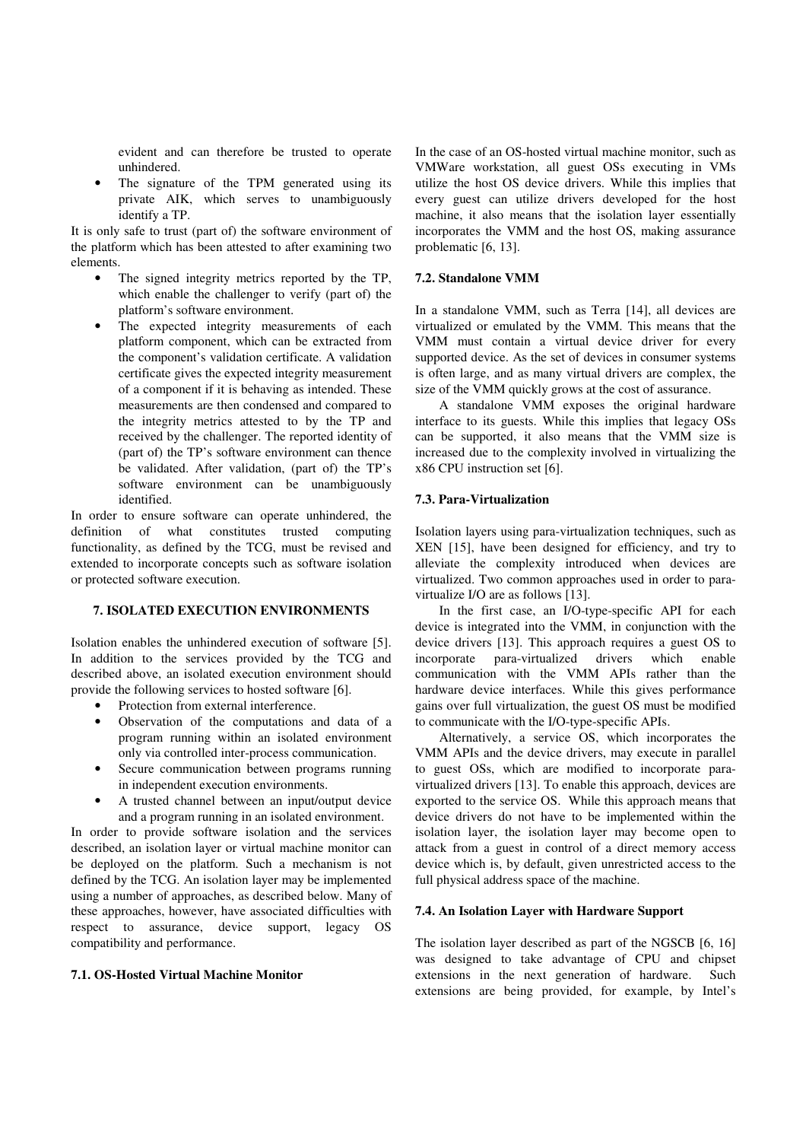evident and can therefore be trusted to operate unhindered.

The signature of the TPM generated using its private AIK, which serves to unambiguously identify a TP.

It is only safe to trust (part of) the software environment of the platform which has been attested to after examining two elements.

- The signed integrity metrics reported by the TP. which enable the challenger to verify (part of) the platform's software environment.
- The expected integrity measurements of each platform component, which can be extracted from the component's validation certificate. A validation certificate gives the expected integrity measurement of a component if it is behaving as intended. These measurements are then condensed and compared to the integrity metrics attested to by the TP and received by the challenger. The reported identity of (part of) the TP's software environment can thence be validated. After validation, (part of) the TP's software environment can be unambiguously identified.

In order to ensure software can operate unhindered, the definition of what constitutes trusted computing functionality, as defined by the TCG, must be revised and extended to incorporate concepts such as software isolation or protected software execution.

# **7. ISOLATED EXECUTION ENVIRONMENTS**

Isolation enables the unhindered execution of software [5]. In addition to the services provided by the TCG and described above, an isolated execution environment should provide the following services to hosted software [6].

- Protection from external interference.
- Observation of the computations and data of a program running within an isolated environment only via controlled inter-process communication.
- Secure communication between programs running in independent execution environments.
- A trusted channel between an input/output device and a program running in an isolated environment.

In order to provide software isolation and the services described, an isolation layer or virtual machine monitor can be deployed on the platform. Such a mechanism is not defined by the TCG. An isolation layer may be implemented using a number of approaches, as described below. Many of these approaches, however, have associated difficulties with respect to assurance, device support, legacy OS compatibility and performance.

# **7.1. OS-Hosted Virtual Machine Monitor**

In the case of an OS-hosted virtual machine monitor, such as VMWare workstation, all guest OSs executing in VMs utilize the host OS device drivers. While this implies that every guest can utilize drivers developed for the host machine, it also means that the isolation layer essentially incorporates the VMM and the host OS, making assurance problematic [6, 13].

## **7.2. Standalone VMM**

In a standalone VMM, such as Terra [14], all devices are virtualized or emulated by the VMM. This means that the VMM must contain a virtual device driver for every supported device. As the set of devices in consumer systems is often large, and as many virtual drivers are complex, the size of the VMM quickly grows at the cost of assurance.

A standalone VMM exposes the original hardware interface to its guests. While this implies that legacy OSs can be supported, it also means that the VMM size is increased due to the complexity involved in virtualizing the x86 CPU instruction set [6].

## **7.3. Para-Virtualization**

Isolation layers using para-virtualization techniques, such as XEN [15], have been designed for efficiency, and try to alleviate the complexity introduced when devices are virtualized. Two common approaches used in order to paravirtualize I/O are as follows [13].

In the first case, an I/O-type-specific API for each device is integrated into the VMM, in conjunction with the device drivers [13]. This approach requires a guest OS to incorporate para-virtualized drivers which enable communication with the VMM APIs rather than the hardware device interfaces. While this gives performance gains over full virtualization, the guest OS must be modified to communicate with the I/O-type-specific APIs.

Alternatively, a service OS, which incorporates the VMM APIs and the device drivers, may execute in parallel to guest OSs, which are modified to incorporate paravirtualized drivers [13]. To enable this approach, devices are exported to the service OS. While this approach means that device drivers do not have to be implemented within the isolation layer, the isolation layer may become open to attack from a guest in control of a direct memory access device which is, by default, given unrestricted access to the full physical address space of the machine.

### **7.4. An Isolation Layer with Hardware Support**

The isolation layer described as part of the NGSCB [6, 16] was designed to take advantage of CPU and chipset extensions in the next generation of hardware. Such extensions are being provided, for example, by Intel's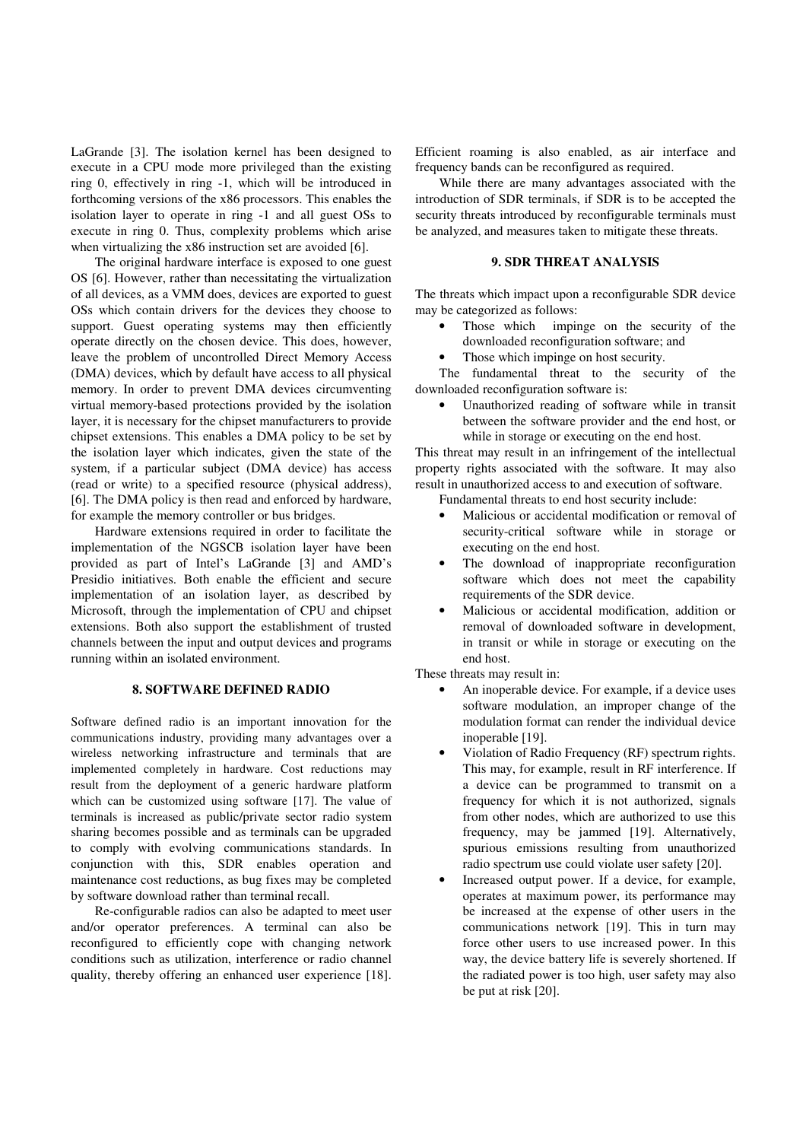LaGrande [3]. The isolation kernel has been designed to execute in a CPU mode more privileged than the existing ring 0, effectively in ring -1, which will be introduced in forthcoming versions of the x86 processors. This enables the isolation layer to operate in ring -1 and all guest OSs to execute in ring 0. Thus, complexity problems which arise when virtualizing the x86 instruction set are avoided [6].

The original hardware interface is exposed to one guest OS [6]. However, rather than necessitating the virtualization of all devices, as a VMM does, devices are exported to guest OSs which contain drivers for the devices they choose to support. Guest operating systems may then efficiently operate directly on the chosen device. This does, however, leave the problem of uncontrolled Direct Memory Access (DMA) devices, which by default have access to all physical memory. In order to prevent DMA devices circumventing virtual memory-based protections provided by the isolation layer, it is necessary for the chipset manufacturers to provide chipset extensions. This enables a DMA policy to be set by the isolation layer which indicates, given the state of the system, if a particular subject (DMA device) has access (read or write) to a specified resource (physical address), [6]. The DMA policy is then read and enforced by hardware, for example the memory controller or bus bridges.

Hardware extensions required in order to facilitate the implementation of the NGSCB isolation layer have been provided as part of Intel's LaGrande [3] and AMD's Presidio initiatives. Both enable the efficient and secure implementation of an isolation layer, as described by Microsoft, through the implementation of CPU and chipset extensions. Both also support the establishment of trusted channels between the input and output devices and programs running within an isolated environment.

## **8. SOFTWARE DEFINED RADIO**

Software defined radio is an important innovation for the communications industry, providing many advantages over a wireless networking infrastructure and terminals that are implemented completely in hardware. Cost reductions may result from the deployment of a generic hardware platform which can be customized using software [17]. The value of terminals is increased as public/private sector radio system sharing becomes possible and as terminals can be upgraded to comply with evolving communications standards. In conjunction with this, SDR enables operation and maintenance cost reductions, as bug fixes may be completed by software download rather than terminal recall.

Re-configurable radios can also be adapted to meet user and/or operator preferences. A terminal can also be reconfigured to efficiently cope with changing network conditions such as utilization, interference or radio channel quality, thereby offering an enhanced user experience [18]. Efficient roaming is also enabled, as air interface and frequency bands can be reconfigured as required.

While there are many advantages associated with the introduction of SDR terminals, if SDR is to be accepted the security threats introduced by reconfigurable terminals must be analyzed, and measures taken to mitigate these threats.

# **9. SDR THREAT ANALYSIS**

The threats which impact upon a reconfigurable SDR device may be categorized as follows:

- Those which impinge on the security of the downloaded reconfiguration software; and
- Those which impinge on host security.

The fundamental threat to the security of the downloaded reconfiguration software is:

• Unauthorized reading of software while in transit between the software provider and the end host, or while in storage or executing on the end host.

This threat may result in an infringement of the intellectual property rights associated with the software. It may also result in unauthorized access to and execution of software.

Fundamental threats to end host security include:

- Malicious or accidental modification or removal of security-critical software while in storage or executing on the end host.
- The download of inappropriate reconfiguration software which does not meet the capability requirements of the SDR device.
- Malicious or accidental modification, addition or removal of downloaded software in development, in transit or while in storage or executing on the end host.

These threats may result in:

- An inoperable device. For example, if a device uses software modulation, an improper change of the modulation format can render the individual device inoperable [19].
- Violation of Radio Frequency (RF) spectrum rights. This may, for example, result in RF interference. If a device can be programmed to transmit on a frequency for which it is not authorized, signals from other nodes, which are authorized to use this frequency, may be jammed [19]. Alternatively, spurious emissions resulting from unauthorized radio spectrum use could violate user safety [20].
- Increased output power. If a device, for example, operates at maximum power, its performance may be increased at the expense of other users in the communications network [19]. This in turn may force other users to use increased power. In this way, the device battery life is severely shortened. If the radiated power is too high, user safety may also be put at risk [20].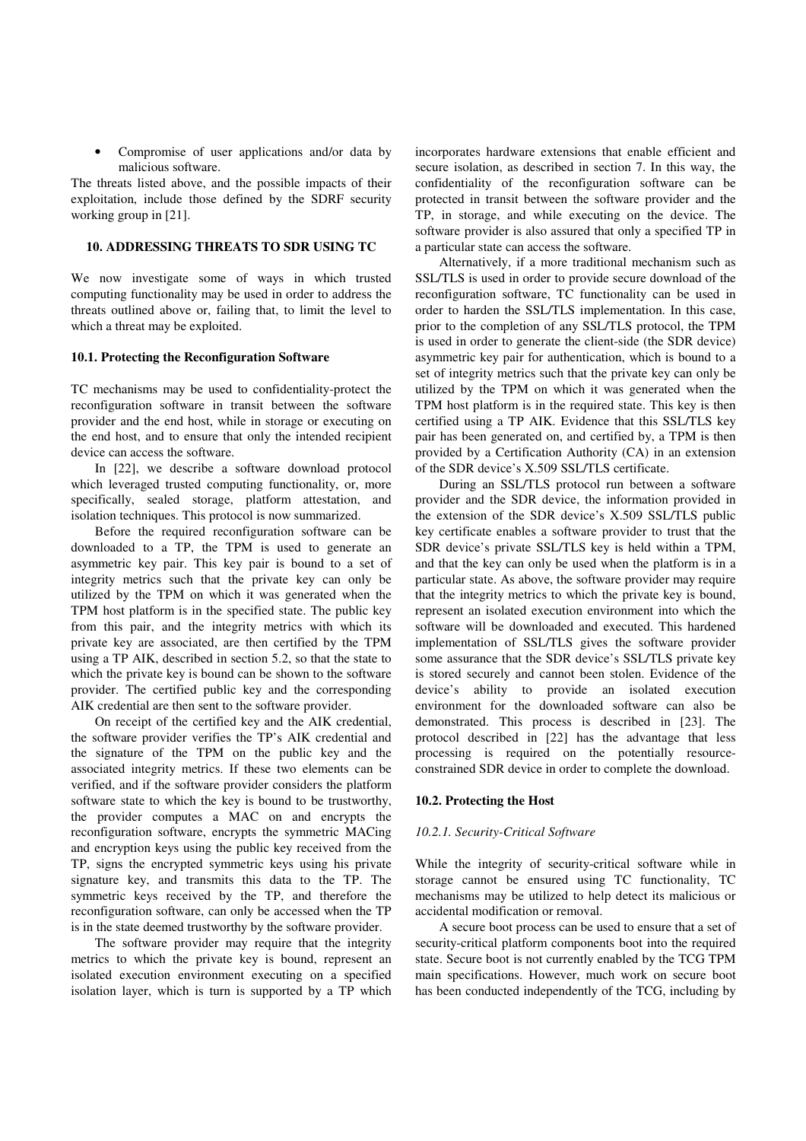• Compromise of user applications and/or data by malicious software.

The threats listed above, and the possible impacts of their exploitation, include those defined by the SDRF security working group in [21].

## **10. ADDRESSING THREATS TO SDR USING TC**

We now investigate some of ways in which trusted computing functionality may be used in order to address the threats outlined above or, failing that, to limit the level to which a threat may be exploited.

### **10.1. Protecting the Reconfiguration Software**

TC mechanisms may be used to confidentiality-protect the reconfiguration software in transit between the software provider and the end host, while in storage or executing on the end host, and to ensure that only the intended recipient device can access the software.

In [22], we describe a software download protocol which leveraged trusted computing functionality, or, more specifically, sealed storage, platform attestation, and isolation techniques. This protocol is now summarized.

Before the required reconfiguration software can be downloaded to a TP, the TPM is used to generate an asymmetric key pair. This key pair is bound to a set of integrity metrics such that the private key can only be utilized by the TPM on which it was generated when the TPM host platform is in the specified state. The public key from this pair, and the integrity metrics with which its private key are associated, are then certified by the TPM using a TP AIK, described in section 5.2, so that the state to which the private key is bound can be shown to the software provider. The certified public key and the corresponding AIK credential are then sent to the software provider.

On receipt of the certified key and the AIK credential, the software provider verifies the TP's AIK credential and the signature of the TPM on the public key and the associated integrity metrics. If these two elements can be verified, and if the software provider considers the platform software state to which the key is bound to be trustworthy, the provider computes a MAC on and encrypts the reconfiguration software, encrypts the symmetric MACing and encryption keys using the public key received from the TP, signs the encrypted symmetric keys using his private signature key, and transmits this data to the TP. The symmetric keys received by the TP, and therefore the reconfiguration software, can only be accessed when the TP is in the state deemed trustworthy by the software provider.

The software provider may require that the integrity metrics to which the private key is bound, represent an isolated execution environment executing on a specified isolation layer, which is turn is supported by a TP which incorporates hardware extensions that enable efficient and secure isolation, as described in section 7. In this way, the confidentiality of the reconfiguration software can be protected in transit between the software provider and the TP, in storage, and while executing on the device. The software provider is also assured that only a specified TP in a particular state can access the software.

Alternatively, if a more traditional mechanism such as SSL/TLS is used in order to provide secure download of the reconfiguration software, TC functionality can be used in order to harden the SSL/TLS implementation. In this case, prior to the completion of any SSL/TLS protocol, the TPM is used in order to generate the client-side (the SDR device) asymmetric key pair for authentication, which is bound to a set of integrity metrics such that the private key can only be utilized by the TPM on which it was generated when the TPM host platform is in the required state. This key is then certified using a TP AIK. Evidence that this SSL/TLS key pair has been generated on, and certified by, a TPM is then provided by a Certification Authority (CA) in an extension of the SDR device's X.509 SSL/TLS certificate.

During an SSL/TLS protocol run between a software provider and the SDR device, the information provided in the extension of the SDR device's X.509 SSL/TLS public key certificate enables a software provider to trust that the SDR device's private SSL/TLS key is held within a TPM, and that the key can only be used when the platform is in a particular state. As above, the software provider may require that the integrity metrics to which the private key is bound, represent an isolated execution environment into which the software will be downloaded and executed. This hardened implementation of SSL/TLS gives the software provider some assurance that the SDR device's SSL/TLS private key is stored securely and cannot been stolen. Evidence of the device's ability to provide an isolated execution environment for the downloaded software can also be demonstrated. This process is described in [23]. The protocol described in [22] has the advantage that less processing is required on the potentially resourceconstrained SDR device in order to complete the download.

### **10.2. Protecting the Host**

#### *10.2.1. Security-Critical Software*

While the integrity of security-critical software while in storage cannot be ensured using TC functionality, TC mechanisms may be utilized to help detect its malicious or accidental modification or removal.

A secure boot process can be used to ensure that a set of security-critical platform components boot into the required state. Secure boot is not currently enabled by the TCG TPM main specifications. However, much work on secure boot has been conducted independently of the TCG, including by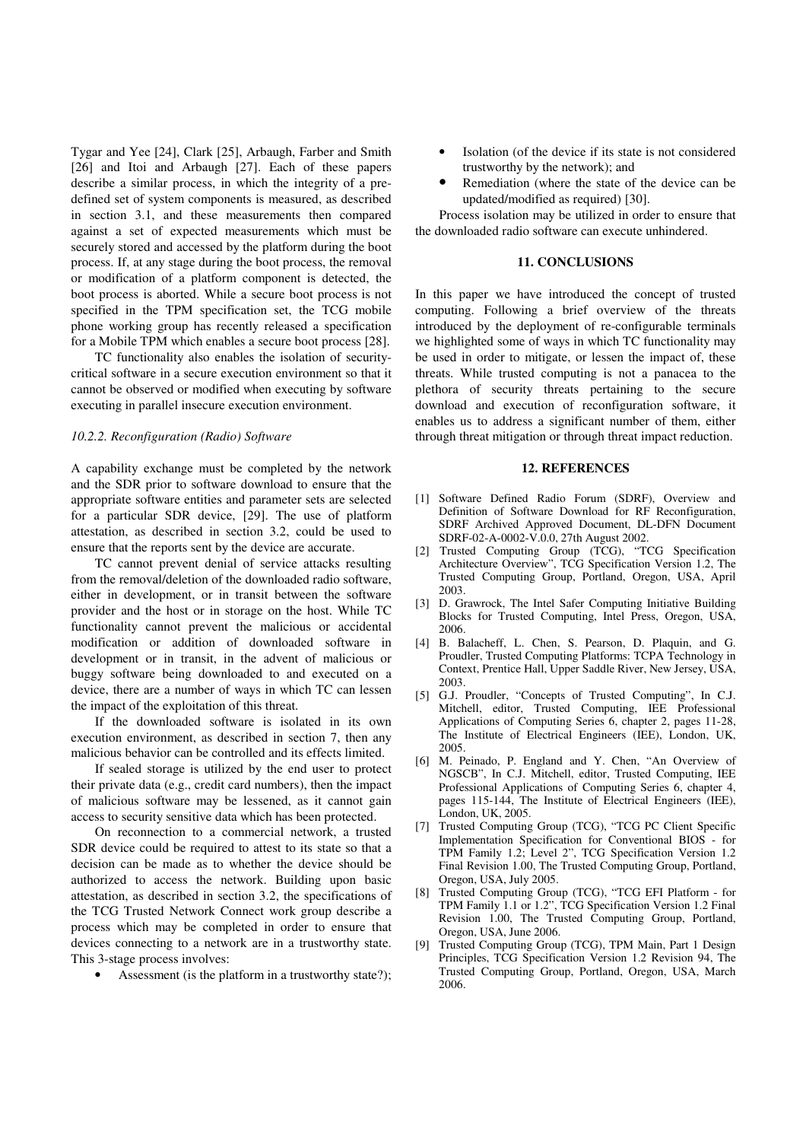Tygar and Yee [24], Clark [25], Arbaugh, Farber and Smith [26] and Itoi and Arbaugh [27]. Each of these papers describe a similar process, in which the integrity of a predefined set of system components is measured, as described in section 3.1, and these measurements then compared against a set of expected measurements which must be securely stored and accessed by the platform during the boot process. If, at any stage during the boot process, the removal or modification of a platform component is detected, the boot process is aborted. While a secure boot process is not specified in the TPM specification set, the TCG mobile phone working group has recently released a specification for a Mobile TPM which enables a secure boot process [28].

TC functionality also enables the isolation of securitycritical software in a secure execution environment so that it cannot be observed or modified when executing by software executing in parallel insecure execution environment.

### *10.2.2. Reconfiguration (Radio) Software*

A capability exchange must be completed by the network and the SDR prior to software download to ensure that the appropriate software entities and parameter sets are selected for a particular SDR device, [29]. The use of platform attestation, as described in section 3.2, could be used to ensure that the reports sent by the device are accurate.

TC cannot prevent denial of service attacks resulting from the removal/deletion of the downloaded radio software, either in development, or in transit between the software provider and the host or in storage on the host. While TC functionality cannot prevent the malicious or accidental modification or addition of downloaded software in development or in transit, in the advent of malicious or buggy software being downloaded to and executed on a device, there are a number of ways in which TC can lessen the impact of the exploitation of this threat.

If the downloaded software is isolated in its own execution environment, as described in section 7, then any malicious behavior can be controlled and its effects limited.

If sealed storage is utilized by the end user to protect their private data (e.g., credit card numbers), then the impact of malicious software may be lessened, as it cannot gain access to security sensitive data which has been protected.

On reconnection to a commercial network, a trusted SDR device could be required to attest to its state so that a decision can be made as to whether the device should be authorized to access the network. Building upon basic attestation, as described in section 3.2, the specifications of the TCG Trusted Network Connect work group describe a process which may be completed in order to ensure that devices connecting to a network are in a trustworthy state. This 3-stage process involves:

Assessment (is the platform in a trustworthy state?);

- Isolation (of the device if its state is not considered trustworthy by the network); and
- Remediation (where the state of the device can be updated/modified as required) [30].

Process isolation may be utilized in order to ensure that the downloaded radio software can execute unhindered.

### **11. CONCLUSIONS**

In this paper we have introduced the concept of trusted computing. Following a brief overview of the threats introduced by the deployment of re-configurable terminals we highlighted some of ways in which TC functionality may be used in order to mitigate, or lessen the impact of, these threats. While trusted computing is not a panacea to the plethora of security threats pertaining to the secure download and execution of reconfiguration software, it enables us to address a significant number of them, either through threat mitigation or through threat impact reduction.

## **12. REFERENCES**

- [1] Software Defined Radio Forum (SDRF), Overview and Definition of Software Download for RF Reconfiguration, SDRF Archived Approved Document, DL-DFN Document SDRF-02-A-0002-V.0.0, 27th August 2002.
- [2] Trusted Computing Group (TCG), "TCG Specification Architecture Overview", TCG Specification Version 1.2, The Trusted Computing Group, Portland, Oregon, USA, April 2003.
- [3] D. Grawrock, The Intel Safer Computing Initiative Building Blocks for Trusted Computing, Intel Press, Oregon, USA, 2006.
- [4] B. Balacheff, L. Chen, S. Pearson, D. Plaquin, and G. Proudler, Trusted Computing Platforms: TCPA Technology in Context, Prentice Hall, Upper Saddle River, New Jersey, USA, 2003.
- [5] G.J. Proudler, "Concepts of Trusted Computing", In C.J. Mitchell, editor, Trusted Computing, IEE Professional Applications of Computing Series 6, chapter 2, pages 11-28, The Institute of Electrical Engineers (IEE), London, UK, 2005.
- [6] M. Peinado, P. England and Y. Chen, "An Overview of NGSCB", In C.J. Mitchell, editor, Trusted Computing, IEE Professional Applications of Computing Series 6, chapter 4, pages 115-144, The Institute of Electrical Engineers (IEE), London, UK, 2005.
- [7] Trusted Computing Group (TCG), "TCG PC Client Specific Implementation Specification for Conventional BIOS - for TPM Family 1.2; Level 2", TCG Specification Version 1.2 Final Revision 1.00, The Trusted Computing Group, Portland, Oregon, USA, July 2005.
- [8] Trusted Computing Group (TCG), "TCG EFI Platform for TPM Family 1.1 or 1.2", TCG Specification Version 1.2 Final Revision 1.00, The Trusted Computing Group, Portland, Oregon, USA, June 2006.
- [9] Trusted Computing Group (TCG), TPM Main, Part 1 Design Principles, TCG Specification Version 1.2 Revision 94, The Trusted Computing Group, Portland, Oregon, USA, March 2006.